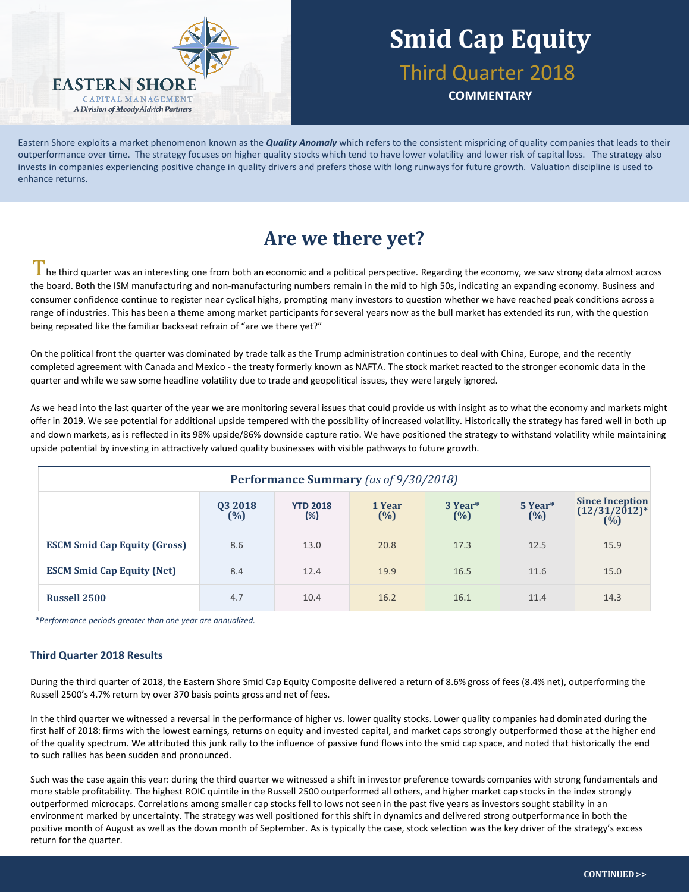

## **Smid Cap Equity** Third Quarter 2018

**COMMENTARY**

Eastern Shore exploits a market phenomenon known as the *Quality Anomaly* which refers to the consistent mispricing of quality companies that leads to their outperformance over time. The strategy focuses on higher quality stocks which tend to have lower volatility and lower risk of capital loss. The strategy also invests in companies experiencing positive change in quality drivers and prefers those with long runways for future growth. Valuation discipline is used to enhance returns.

### **Are we there yet?**

 $\perp$  he third quarter was an interesting one from both an economic and a political perspective. Regarding the economy, we saw strong data almost across the board. Both the ISM manufacturing and non-manufacturing numbers remain in the mid to high 50s, indicating an expanding economy. Business and consumer confidence continue to register near cyclical highs, prompting many investors to question whether we have reached peak conditions across a range of industries. This has been a theme among market participants for several years now as the bull market has extended its run, with the question being repeated like the familiar backseat refrain of "are we there yet?"

On the political front the quarter was dominated by trade talk as the Trump administration continues to deal with China, Europe, and the recently completed agreement with Canada and Mexico - the treaty formerly known as NAFTA. The stock market reacted to the stronger economic data in the quarter and while we saw some headline volatility due to trade and geopolitical issues, they were largely ignored.

As we head into the last quarter of the year we are monitoring several issues that could provide us with insight as to what the economy and markets might offer in 2019. We see potential for additional upside tempered with the possibility of increased volatility. Historically the strategy has fared well in both up and down markets, as is reflected in its 98% upside/86% downside capture ratio. We have positioned the strategy to withstand volatility while maintaining upside potential by investing in attractively valued quality businesses with visible pathways to future growth.

| <b>Performance Summary</b> (as of 9/30/2018) |                   |                           |               |                               |                |                                                                            |  |  |  |
|----------------------------------------------|-------------------|---------------------------|---------------|-------------------------------|----------------|----------------------------------------------------------------------------|--|--|--|
|                                              | 03 2018<br>$(\%)$ | <b>YTD 2018</b><br>$(\%)$ | 1 Year<br>(%) | 3 Year <sup>*</sup><br>$(\%)$ | 5 Year*<br>(%) | <b>Since Inception</b><br>$(12/31/2012)^*$<br>$(^{\dot{0}}\!\!\!/\!\!\!o)$ |  |  |  |
| <b>ESCM Smid Cap Equity (Gross)</b>          | 8.6               | 13.0                      | 20.8          | 17.3                          | 12.5           | 15.9                                                                       |  |  |  |
| <b>ESCM Smid Cap Equity (Net)</b>            | 8.4               | 12.4                      | 19.9          | 16.5                          | 11.6           | 15.0                                                                       |  |  |  |
| <b>Russell 2500</b>                          | 4.7               | 10.4                      | 16.2          | 16.1                          | 11.4           | 14.3                                                                       |  |  |  |

*\*Performance periods greater than one year are annualized.*

### **Third Quarter 2018 Results**

During the third quarter of 2018, the Eastern Shore Smid Cap Equity Composite delivered a return of 8.6% gross of fees (8.4% net), outperforming the Russell 2500's 4.7% return by over 370 basis points gross and net of fees.

In the third quarter we witnessed a reversal in the performance of higher vs. lower quality stocks. Lower quality companies had dominated during the first half of 2018: firms with the lowest earnings, returns on equity and invested capital, and market caps strongly outperformed those at the higher end of the quality spectrum. We attributed this junk rally to the influence of passive fund flows into the smid cap space, and noted that historically the end to such rallies has been sudden and pronounced.

Such was the case again this year: during the third quarter we witnessed a shift in investor preference towards companies with strong fundamentals and more stable profitability. The highest ROIC quintile in the Russell 2500 outperformed all others, and higher market cap stocks in the index strongly outperformed microcaps. Correlations among smaller cap stocks fell to lows not seen in the past five years as investors sought stability in an environment marked by uncertainty. The strategy was well positioned for this shift in dynamics and delivered strong outperformance in both the positive month of August as well as the down month of September. As is typically the case, stock selection was the key driver of the strategy's excess return for the quarter.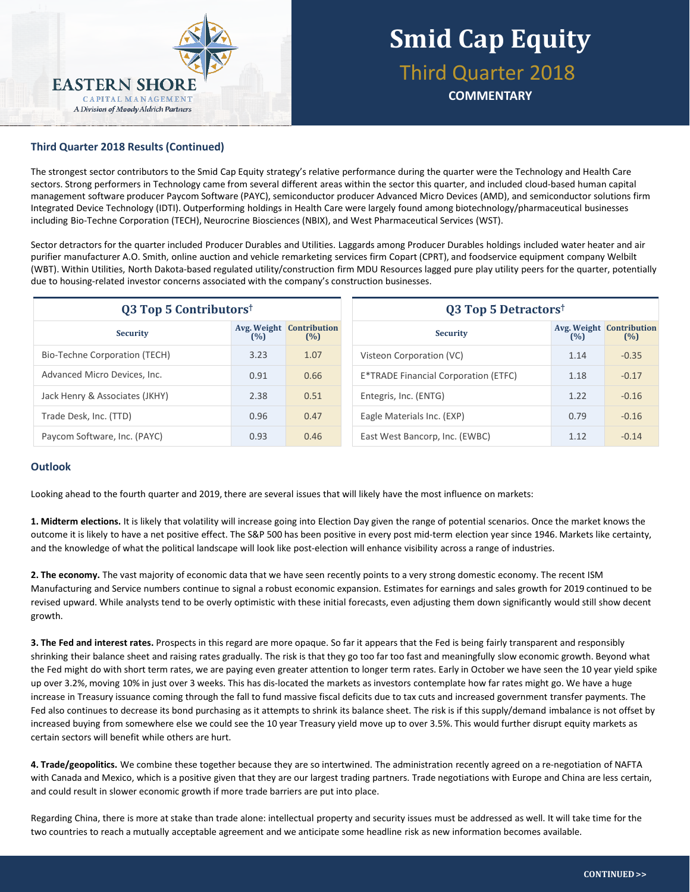

## **Smid Cap Equity** Third Quarter 2018

**COMMENTARY**

### **Third Quarter 2018 Results (Continued)**

The strongest sector contributors to the Smid Cap Equity strategy's relative performance during the quarter were the Technology and Health Care sectors. Strong performers in Technology came from several different areas within the sector this quarter, and included cloud-based human capital management software producer Paycom Software (PAYC), semiconductor producer Advanced Micro Devices (AMD), and semiconductor solutions firm Integrated Device Technology (IDTI). Outperforming holdings in Health Care were largely found among biotechnology/pharmaceutical businesses including Bio-Techne Corporation (TECH), Neurocrine Biosciences (NBIX), and West Pharmaceutical Services (WST).

Sector detractors for the quarter included Producer Durables and Utilities. Laggards among Producer Durables holdings included water heater and air purifier manufacturer A.O. Smith, online auction and vehicle remarketing services firm Copart (CPRT), and foodservice equipment company Welbilt (WBT). Within Utilities, North Dakota-based regulated utility/construction firm MDU Resources lagged pure play utility peers for the quarter, potentially due to housing-related investor concerns associated with the company's construction businesses.

| <b>Q3 Top 5 Contributors</b> <sup>†</sup> |      |                                        | Q3 Top 5 Detractors <sup>†</sup>                                 |  |  |  |
|-------------------------------------------|------|----------------------------------------|------------------------------------------------------------------|--|--|--|
| <b>Security</b>                           | (%)  | <b>Avg. Weight Contribution</b><br>(%) | <b>Avg. Weight Contribution</b><br><b>Security</b><br>(%)<br>(%) |  |  |  |
| Bio-Techne Corporation (TECH)             | 3.23 | 1.07                                   | $-0.35$<br>Visteon Corporation (VC)<br>1.14                      |  |  |  |
| Advanced Micro Devices, Inc.              | 0.91 | 0.66                                   | $-0.17$<br>E*TRADE Financial Corporation (ETFC)<br>1.18          |  |  |  |
| Jack Henry & Associates (JKHY)            | 2.38 | 0.51                                   | $-0.16$<br>Entegris, Inc. (ENTG)<br>1.22                         |  |  |  |
| Trade Desk, Inc. (TTD)                    | 0.96 | 0.47                                   | Eagle Materials Inc. (EXP)<br>$-0.16$<br>0.79                    |  |  |  |
| Paycom Software, Inc. (PAYC)              | 0.93 | 0.46                                   | East West Bancorp, Inc. (EWBC)<br>1.12<br>$-0.14$                |  |  |  |

#### **Outlook**

Looking ahead to the fourth quarter and 2019, there are several issues that will likely have the most influence on markets:

**1. Midterm elections.** It is likely that volatility will increase going into Election Day given the range of potential scenarios. Once the market knows the outcome it is likely to have a net positive effect. The S&P 500 has been positive in every post mid-term election year since 1946. Markets like certainty, and the knowledge of what the political landscape will look like post-election will enhance visibility across a range of industries.

**2. The economy.** The vast majority of economic data that we have seen recently points to a very strong domestic economy. The recent ISM Manufacturing and Service numbers continue to signal a robust economic expansion. Estimates for earnings and sales growth for 2019 continued to be revised upward. While analysts tend to be overly optimistic with these initial forecasts, even adjusting them down significantly would still show decent growth.

**3. The Fed and interest rates.** Prospects in this regard are more opaque. So far it appears that the Fed is being fairly transparent and responsibly shrinking their balance sheet and raising rates gradually. The risk is that they go too far too fast and meaningfully slow economic growth. Beyond what the Fed might do with short term rates, we are paying even greater attention to longer term rates. Early in October we have seen the 10 year yield spike up over 3.2%, moving 10% in just over 3 weeks. This has dis-located the markets as investors contemplate how far rates might go. We have a huge increase in Treasury issuance coming through the fall to fund massive fiscal deficits due to tax cuts and increased government transfer payments. The Fed also continues to decrease its bond purchasing as it attempts to shrink its balance sheet. The risk is if this supply/demand imbalance is not offset by increased buying from somewhere else we could see the 10 year Treasury yield move up to over 3.5%. This would further disrupt equity markets as certain sectors will benefit while others are hurt.

**4. Trade/geopolitics.** We combine these together because they are so intertwined. The administration recently agreed on a re-negotiation of NAFTA with Canada and Mexico, which is a positive given that they are our largest trading partners. Trade negotiations with Europe and China are less certain, and could result in slower economic growth if more trade barriers are put into place.

Regarding China, there is more at stake than trade alone: intellectual property and security issues must be addressed as well. It will take time for the two countries to reach a mutually acceptable agreement and we anticipate some headline risk as new information becomes available.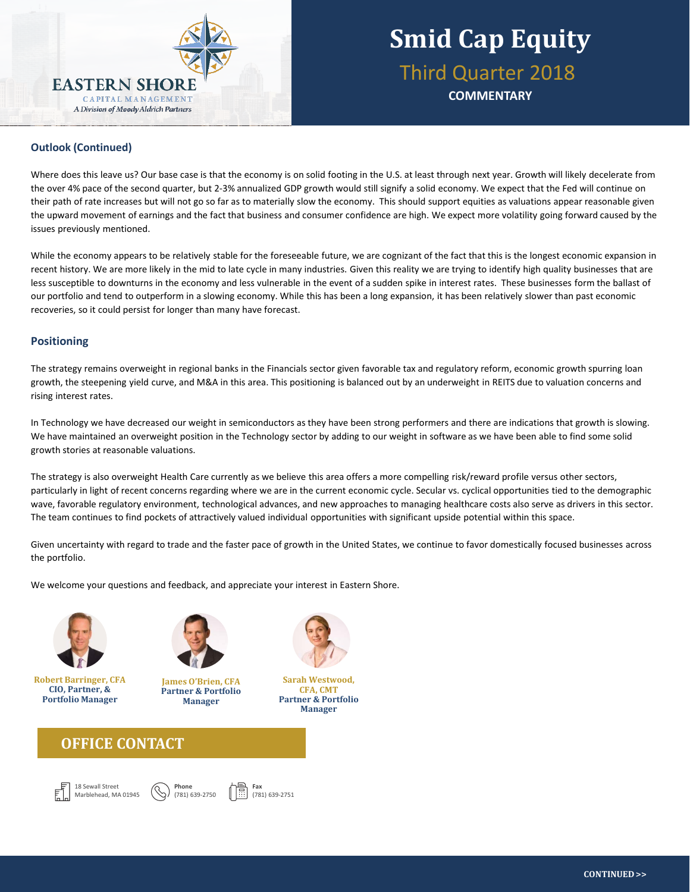

## **Smid Cap Equity** Third Quarter 2018 **COMMENTARY**

### **Outlook (Continued)**

Where does this leave us? Our base case is that the economy is on solid footing in the U.S. at least through next year. Growth will likely decelerate from the over 4% pace of the second quarter, but 2-3% annualized GDP growth would still signify a solid economy. We expect that the Fed will continue on their path of rate increases but will not go so far as to materially slow the economy. This should support equities as valuations appear reasonable given the upward movement of earnings and the fact that business and consumer confidence are high. We expect more volatility going forward caused by the issues previously mentioned.

While the economy appears to be relatively stable for the foreseeable future, we are cognizant of the fact that this is the longest economic expansion in recent history. We are more likely in the mid to late cycle in many industries. Given this reality we are trying to identify high quality businesses that are less susceptible to downturns in the economy and less vulnerable in the event of a sudden spike in interest rates. These businesses form the ballast of our portfolio and tend to outperform in a slowing economy. While this has been a long expansion, it has been relatively slower than past economic recoveries, so it could persist for longer than many have forecast.

### **Positioning**

The strategy remains overweight in regional banks in the Financials sector given favorable tax and regulatory reform, economic growth spurring loan growth, the steepening yield curve, and M&A in this area. This positioning is balanced out by an underweight in REITS due to valuation concerns and rising interest rates.

In Technology we have decreased our weight in semiconductors as they have been strong performers and there are indications that growth is slowing. We have maintained an overweight position in the Technology sector by adding to our weight in software as we have been able to find some solid growth stories at reasonable valuations.

The strategy is also overweight Health Care currently as we believe this area offers a more compelling risk/reward profile versus other sectors, particularly in light of recent concerns regarding where we are in the current economic cycle. Secular vs. cyclical opportunities tied to the demographic wave, favorable regulatory environment, technological advances, and new approaches to managing healthcare costs also serve as drivers in this sector. The team continues to find pockets of attractively valued individual opportunities with significant upside potential within this space.

Given uncertainty with regard to trade and the faster pace of growth in the United States, we continue to favor domestically focused businesses across the portfolio.

We welcome your questions and feedback, and appreciate your interest in Eastern Shore.



**Robert Barringer, CFA CIO, Partner, & Portfolio Manager**



**James O'Brien, CFA Partner & Portfolio Manager**



**Sarah Westwood, CFA, CMT Partner & Portfolio Manager**

### **OFFICE CONTACT**





**Fax** (781) 639-2751